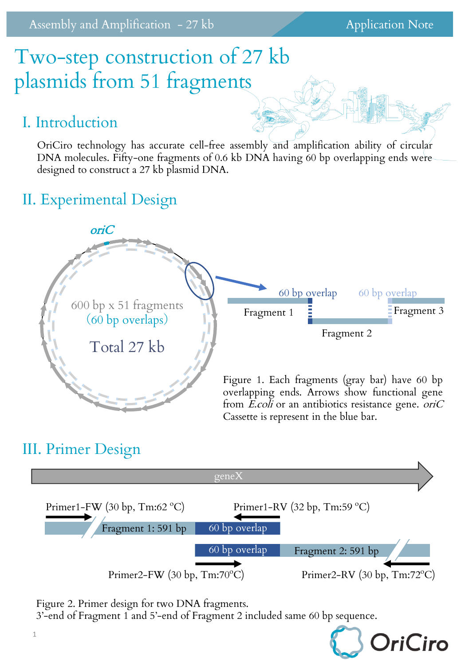# Two-step construction of 27 kb plasmids from 51 fragments

#### I. Introduction

OriCiro technology has accurate cell-free assembly and amplification ability of circular DNA molecules. Fifty-one fragments of 0.6 kb DNA having 60 bp overlapping ends were designed to construct a 27 kb plasmid DNA.

### II. Experimental Design



#### III. Primer Design



Figure 2. Primer design for two DNA fragments.

3'-end of Fragment 1 and 5'-end of Fragment 2 included same 60 bp sequence.